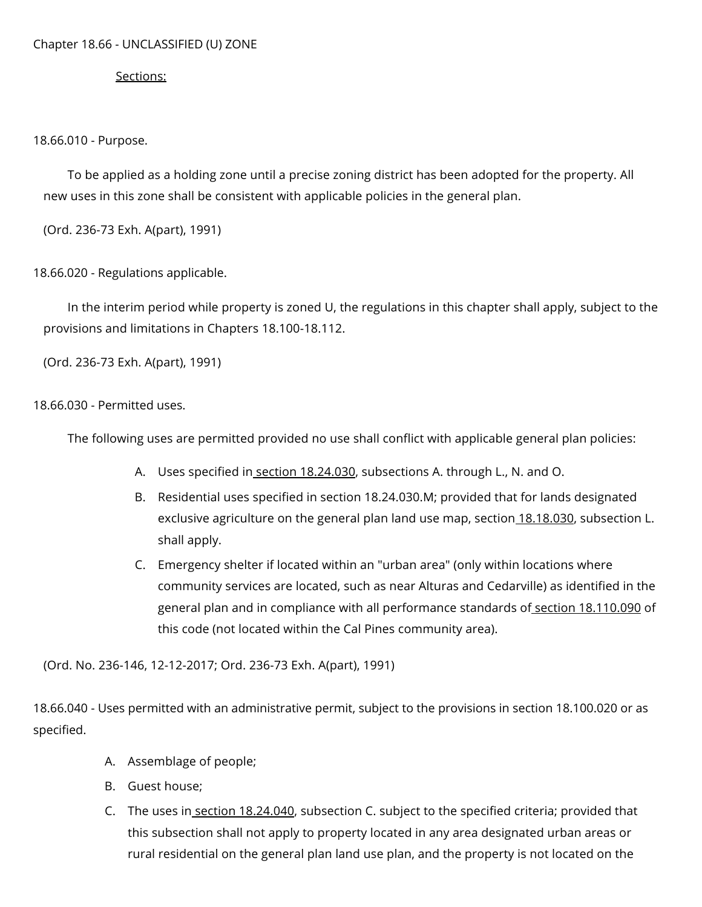## Chapter 18.66 - UNCLASSIFIED (U) ZONE

## Sections:

18.66.010 - Purpose.

To be applied as a holding zone until a precise zoning district has been adopted for the property. All new uses in this zone shall be consistent with applicable policies in the general plan.

(Ord. 236-73 Exh. A(part), 1991)

18.66.020 - Regulations applicable.

In the interim period while property is zoned U, the regulations in this chapter shall apply, subject to the provisions and limitations in Chapters 18.100-18.112.

(Ord. 236-73 Exh. A(part), 1991)

18.66.030 - Permitted uses.

The following uses are permitted provided no use shall conflict with applicable general plan policies:

- A. Uses specified in<u> section [18.24.030](https://library.municode.com/)</u>, subsections A. through L., N. and O.
- B. Residential uses specified in section 18.24.030.M; provided that for lands designated exclusive agriculture on the general plan land use map, section [18.18.030,](https://library.municode.com/) subsection L. shall apply.
- C. Emergency shelter if located within an "urban area" (only within locations where community services are located, such as near Alturas and Cedarville) as identified in the general plan and in compliance with all performance standards of section [18.110.090](https://library.municode.com/) of this code (not located within the Cal Pines community area).

(Ord. No. 236-146, 12-12-2017; Ord. 236-73 Exh. A(part), 1991)

18.66.040 - Uses permitted with an administrative permit, subject to the provisions in section 18.100.020 or as specified.

- A. Assemblage of people;
- B. Guest house;
- C. The uses in <u>section 18.24.040</u>, subsection C. subject to the specified criteria; provided that this subsection shall not apply to property located in any area designated urban areas or rural residential on the general plan land use plan, and the property is not located on the